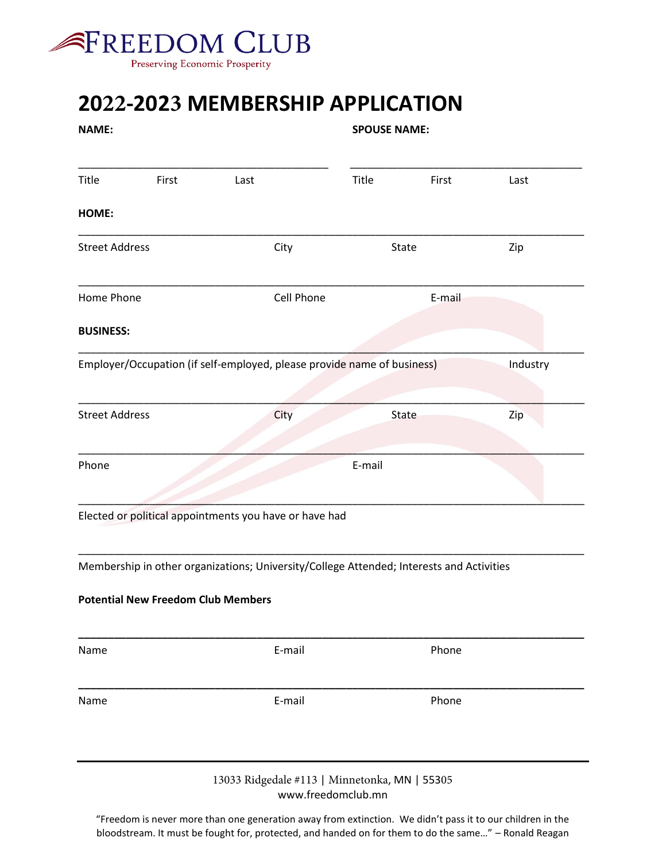

## **2022-2023 MEMBERSHIP APPLICATION**

| <b>NAME:</b>          |       |                                                                                                                                       | <b>SPOUSE NAME:</b> |       |          |
|-----------------------|-------|---------------------------------------------------------------------------------------------------------------------------------------|---------------------|-------|----------|
| Title                 | First | Last                                                                                                                                  | Title               | First | Last     |
| HOME:                 |       |                                                                                                                                       |                     |       |          |
| <b>Street Address</b> |       | City                                                                                                                                  | State               |       | Zip      |
| Home Phone            |       | Cell Phone                                                                                                                            | E-mail              |       |          |
| <b>BUSINESS:</b>      |       |                                                                                                                                       |                     |       |          |
|                       |       | Employer/Occupation (if self-employed, please provide name of business)                                                               |                     |       | Industry |
| <b>Street Address</b> |       | City                                                                                                                                  | <b>State</b>        |       | Zip      |
| Phone                 |       | Elected or political appointments you have or have had                                                                                | E-mail              |       |          |
|                       |       | Membership in other organizations; University/College Attended; Interests and Activities<br><b>Potential New Freedom Club Members</b> |                     |       |          |
| Name                  |       | E-mail                                                                                                                                | Phone               |       |          |
| Name                  |       | E-mail                                                                                                                                |                     | Phone |          |
|                       |       | 13033 Ridgedale #113   Minnetonka, MN   55305<br>www.freedomclub.mn                                                                   |                     |       |          |
|                       |       | "Freedom is never more than one generation away from extinction. We didn't pass it to our children in the                             |                     |       |          |

bloodstream. It must be fought for, protected, and handed on for them to do the same…" – Ronald Reagan